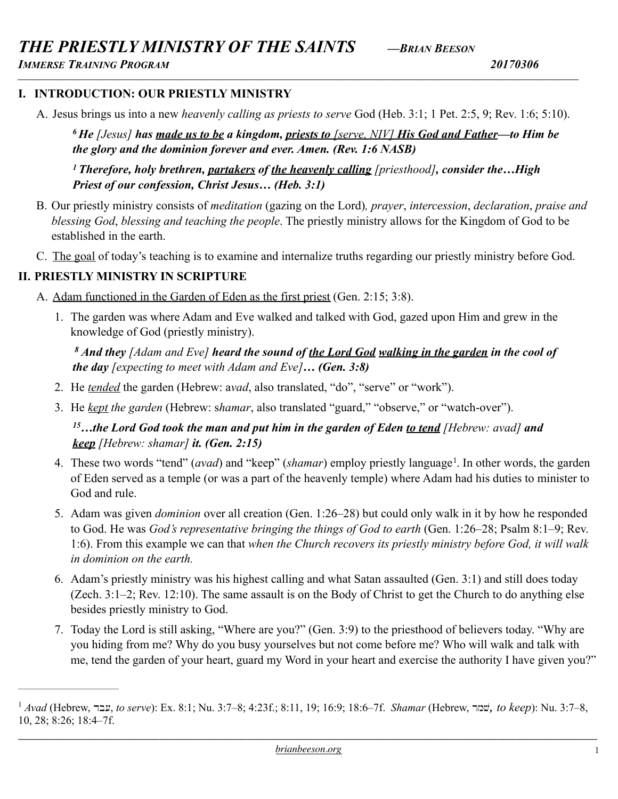*IMMERSE TRAINING PROGRAM 20170306 \_\_\_\_\_\_\_\_\_\_\_\_\_\_\_\_\_\_\_\_\_\_\_\_\_\_\_\_\_\_\_\_\_\_\_\_\_\_\_\_\_\_\_\_\_\_\_\_\_\_\_\_\_\_\_\_\_\_\_\_\_\_\_\_\_\_\_\_\_\_\_\_\_\_\_\_\_\_\_\_\_\_\_\_\_\_\_\_\_\_\_\_\_\_\_\_\_\_\_\_\_\_\_\_\_\_\_\_\_\_\_\_\_\_\_\_\_\_\_\_\_\_\_\_\_\_\_\_\_\_\_\_\_\_\_\_\_\_\_*

# **I. INTRODUCTION: OUR PRIESTLY MINISTRY**

A. Jesus brings us into a new *heavenly calling as priests to serve* God (Heb. 3:1; 1 Pet. 2:5, 9; Rev. 1:6; 5:10).

*6 He [Jesus] has made us to be a kingdom, priests to [serve, NIV] His God and Father—to Him be the glory and the dominion forever and ever. Amen. (Rev. 1:6 NASB)* 

*1 Therefore, holy brethren, partakers of the heavenly calling [priesthood], consider the…High Priest of our confession, Christ Jesus… (Heb. 3:1)* 

- B. Our priestly ministry consists of *meditation* (gazing on the Lord)*, prayer*, *intercession*, *declaration*, *praise and blessing God*, *blessing and teaching the people*. The priestly ministry allows for the Kingdom of God to be established in the earth.
- C. The goal of today's teaching is to examine and internalize truths regarding our priestly ministry before God.

# **II. PRIESTLY MINISTRY IN SCRIPTURE**

- A. Adam functioned in the Garden of Eden as the first priest (Gen. 2:15; 3:8).
	- 1. The garden was where Adam and Eve walked and talked with God, gazed upon Him and grew in the knowledge of God (priestly ministry).

 *8 And they [Adam and Eve] heard the sound of the Lord God walking in the garden in the cool of the day [expecting to meet with Adam and Eve]… (Gen. 3:8)* 

- 2. He *tended* the garden (Hebrew: a*vad*, also translated, "do", "serve" or "work").
- 3. He *kept the garden* (Hebrew: s*hamar*, also translated "guard," "observe," or "watch-over").

# <span id="page-0-1"></span>*15…the Lord God took the man and put him in the garden of Eden to tend [Hebrew: avad] and keep [Hebrew: shamar] it. (Gen. 2:15)*

- 4[.](#page-0-0) These two words "tend" (*avad*) and "keep" (*shamar*) employ priestly language<sup>[1](#page-0-0)</sup>. In other words, the garden of Eden served as a temple (or was a part of the heavenly temple) where Adam had his duties to minister to God and rule.
- 5. Adam was given *dominion* over all creation (Gen. 1:26–28) but could only walk in it by how he responded to God. He was *God's representative bringing the things of God to earth* (Gen. 1:26–28; Psalm 8:1–9; Rev. 1:6). From this example we can that *when the Church recovers its priestly ministry before God, it will walk in dominion on the earth.*
- 6. Adam's priestly ministry was his highest calling and what Satan assaulted (Gen. 3:1) and still does today (Zech. 3:1–2; Rev. 12:10). The same assault is on the Body of Christ to get the Church to do anything else besides priestly ministry to God.
- 7. Today the Lord is still asking, "Where are you?" (Gen. 3:9) to the priesthood of believers today. "Why are you hiding from me? Why do you busy yourselves but not come before me? Who will walk and talk with me, tend the garden of your heart, guard my Word in your heart and exercise the authority I have given you?"

<span id="page-0-0"></span> $A$ *vad* (Hebrew, עבר, to serve): Ex. 8:[1](#page-0-1); Nu. 3:7–8; 4:23f.; 8:11, 19; 16:9; 18:6–7f. *Shamar* (Hebrew, שמר, to keep): Nu. 3:7–8, 10, 28; 8:26; 18:4–7f.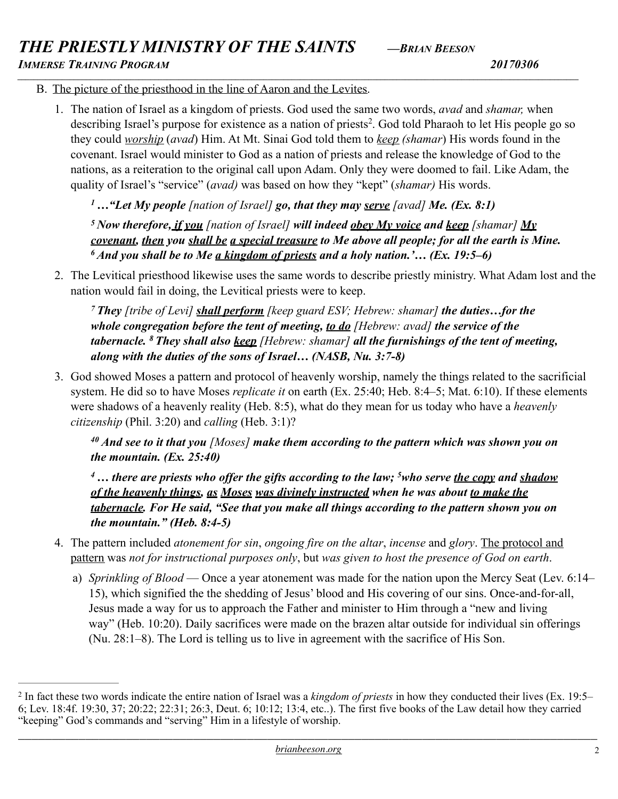*THE PRIESTLY MINISTRY OF THE SAINTS —BRIAN BEESON*

*IMMERSE TRAINING PROGRAM 20170306*

<span id="page-1-1"></span>

- B. The picture of the priesthood in the line of Aaron and the Levites.
	- 1. The nation of Israel as a kingdom of priests. God used the same two words, *avad* and *shamar,* when describing Israel's purpose for existence as a nation of priests<sup>2</sup>[.](#page-1-0) God told Pharaoh to let His people go so they could *worship* (*avad*) Him. At Mt. Sinai God told them to *keep (shamar*) His words found in the covenant. Israel would minister to God as a nation of priests and release the knowledge of God to the nations, as a reiteration to the original call upon Adam. Only they were doomed to fail. Like Adam, the quality of Israel's "service" (*avad)* was based on how they "kept" (*shamar)* His words.

*1 …"Let My people [nation of Israel] go, that they may serve [avad] Me. (Ex. 8:1)* 

*\_\_\_\_\_\_\_\_\_\_\_\_\_\_\_\_\_\_\_\_\_\_\_\_\_\_\_\_\_\_\_\_\_\_\_\_\_\_\_\_\_\_\_\_\_\_\_\_\_\_\_\_\_\_\_\_\_\_\_\_\_\_\_\_\_\_\_\_\_\_\_\_\_\_\_\_\_\_\_\_\_\_\_\_\_\_\_\_\_\_\_\_\_\_\_\_\_\_\_\_\_\_\_\_\_\_\_\_\_\_\_\_\_\_\_\_\_\_\_\_\_\_\_\_\_\_\_\_\_\_\_\_\_\_\_\_\_\_\_*

*5 Now therefore, if you [nation of Israel] will indeed obey My voice and keep [shamar] My covenant, then you shall be a special treasure to Me above all people; for all the earth is Mine. 6 And you shall be to Me a kingdom of priests and a holy nation.'… (Ex. 19:5–6)* 

2. The Levitical priesthood likewise uses the same words to describe priestly ministry. What Adam lost and the nation would fail in doing, the Levitical priests were to keep.

*7 They [tribe of Levi] shall perform [keep guard ESV; Hebrew: shamar] the duties…for the whole congregation before the tent of meeting, to do [Hebrew: avad] the service of the tabernacle. 8 They shall also keep [Hebrew: shamar] all the furnishings of the tent of meeting, along with the duties of the sons of Israel… (NASB, Nu. 3:7-8)* 

3. God showed Moses a pattern and protocol of heavenly worship, namely the things related to the sacrificial system. He did so to have Moses *replicate it* on earth (Ex. 25:40; Heb. 8:4–5; Mat. 6:10). If these elements were shadows of a heavenly reality (Heb. 8:5), what do they mean for us today who have a *heavenly citizenship* (Phil. 3:20) and *calling* (Heb. 3:1)?

*40 And see to it that you [Moses] make them according to the pattern which was shown you on the mountain. (Ex. 25:40)* 

<sup>4</sup>... there are priests who offer the gifts according to the law; <sup>5</sup>who serve <u>the copy</u> and shadow *of the heavenly things, as Moses was divinely instructed when he was about to make the tabernacle. For He said, "See that you make all things according to the pattern shown you on the mountain." (Heb. 8:4-5)*

- 4. The pattern included *atonement for sin*, *ongoing fire on the altar*, *incense* and *glory*. The protocol and pattern was *not for instructional purposes only*, but *was given to host the presence of God on earth*.
	- a) *Sprinkling of Blood*  Once a year atonement was made for the nation upon the Mercy Seat (Lev. 6:14– 15), which signified the the shedding of Jesus' blood and His covering of our sins. Once-and-for-all, Jesus made a way for us to approach the Father and minister to Him through a "new and living way" (Heb. 10:20). Daily sacrifices were made on the brazen altar outside for individual sin offerings (Nu. 28:1–8). The Lord is telling us to live in agreement with the sacrifice of His Son.

<span id="page-1-0"></span><sup>&</sup>lt;sup>[2](#page-1-1)</sup> In fact these two words indicate the entire nation of Israel was a *kingdom of priests* in how they conducted their lives (Ex. 19:5– 6; Lev. 18:4f. 19:30, 37; 20:22; 22:31; 26:3, Deut. 6; 10:12; 13:4, etc..). The first five books of the Law detail how they carried "keeping" God's commands and "serving" Him in a lifestyle of worship.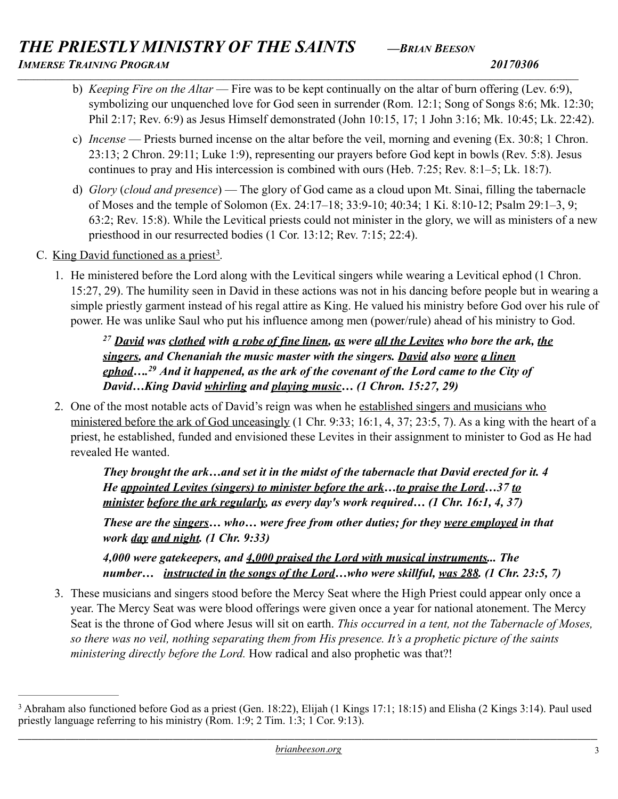# *THE PRIESTLY MINISTRY OF THE SAINTS —BRIAN BEESON IMMERSE TRAINING PROGRAM 20170306*

- *\_\_\_\_\_\_\_\_\_\_\_\_\_\_\_\_\_\_\_\_\_\_\_\_\_\_\_\_\_\_\_\_\_\_\_\_\_\_\_\_\_\_\_\_\_\_\_\_\_\_\_\_\_\_\_\_\_\_\_\_\_\_\_\_\_\_\_\_\_\_\_\_\_\_\_\_\_\_\_\_\_\_\_\_\_\_\_\_\_\_\_\_\_\_\_\_\_\_\_\_\_\_\_\_\_\_\_\_\_\_\_\_\_\_\_\_\_\_\_\_\_\_\_\_\_\_\_\_\_\_\_\_\_\_\_\_\_\_\_* b) *Keeping Fire on the Altar* — Fire was to be kept continually on the altar of burn offering (Lev. 6:9), symbolizing our unquenched love for God seen in surrender (Rom. 12:1; Song of Songs 8:6; Mk. 12:30; Phil 2:17; Rev. 6:9) as Jesus Himself demonstrated (John 10:15, 17; 1 John 3:16; Mk. 10:45; Lk. 22:42).
	- c) *Incense* Priests burned incense on the altar before the veil, morning and evening (Ex. 30:8; 1 Chron. 23:13; 2 Chron. 29:11; Luke 1:9), representing our prayers before God kept in bowls (Rev. 5:8). Jesus continues to pray and His intercession is combined with ours (Heb. 7:25; Rev. 8:1–5; Lk. 18:7).
	- d) *Glory* (*cloud and presence*) The glory of God came as a cloud upon Mt. Sinai, filling the tabernacle of Moses and the temple of Solomon (Ex. 24:17–18; 33:9-10; 40:34; 1 Ki. 8:10-12; Psalm 29:1–3, 9; 63:2; Rev. 15:8). While the Levitical priests could not minister in the glory, we will as ministers of a new priesthood in our resurrected bodies (1 Cor. 13:12; Rev. 7:15; 22:4).
	- C. King David functioned as a priest<sup>[3](#page-2-0)</sup>.
		- 1. He ministered before the Lord along with the Levitical singers while wearing a Levitical ephod (1 Chron. 15:27, 29). The humility seen in David in these actions was not in his dancing before people but in wearing a simple priestly garment instead of his regal attire as King. He valued his ministry before God over his rule of power. He was unlike Saul who put his influence among men (power/rule) ahead of his ministry to God.

<span id="page-2-1"></span>*<sup>27</sup> David was clothed with a robe of fine linen, as were all the Levites who bore the ark, the singers, and Chenaniah the music master with the singers. David also wore a linen ephod….29 And it happened, as the ark of the covenant of the Lord came to the City of David…King David whirling and playing music… (1 Chron. 15:27, 29)* 

2. One of the most notable acts of David's reign was when he established singers and musicians who ministered before the ark of God unceasingly (1 Chr. 9:33; 16:1, 4, 37; 23:5, 7). As a king with the heart of a priest, he established, funded and envisioned these Levites in their assignment to minister to God as He had revealed He wanted.

*They brought the ark…and set it in the midst of the tabernacle that David erected for it. 4 He appointed Levites (singers) to minister before the ark…to praise the Lord…37 to minister before the ark regularly, as every day's work required… (1 Chr. 16:1, 4, 37)*

*These are the singers… who… were free from other duties; for they were employed in that work day and night. (1 Chr. 9:33)* 

*4,000 were gatekeepers, and 4,000 praised the Lord with musical instruments... The number… instructed in the songs of the Lord…who were skillful, was 288. (1 Chr. 23:5, 7)* 

3. These musicians and singers stood before the Mercy Seat where the High Priest could appear only once a year. The Mercy Seat was were blood offerings were given once a year for national atonement. The Mercy Seat is the throne of God where Jesus will sit on earth. *This occurred in a tent, not the Tabernacle of Moses, so there was no veil, nothing separating them from His presence. It's a prophetic picture of the saints ministering directly before the Lord.* How radical and also prophetic was that?!

<span id="page-2-0"></span><sup>&</sup>lt;sup>3</sup>Abraham also functioned before God as a priest (Gen. 18:22), Elijah (1 Kings 17:1; 18:15) and Elisha (2 Kings [3](#page-2-1):14). Paul used priestly language referring to his ministry  $(\overline{R}$ om. 1:9; 2 Tim. 1:3; 1 Cor. 9:13).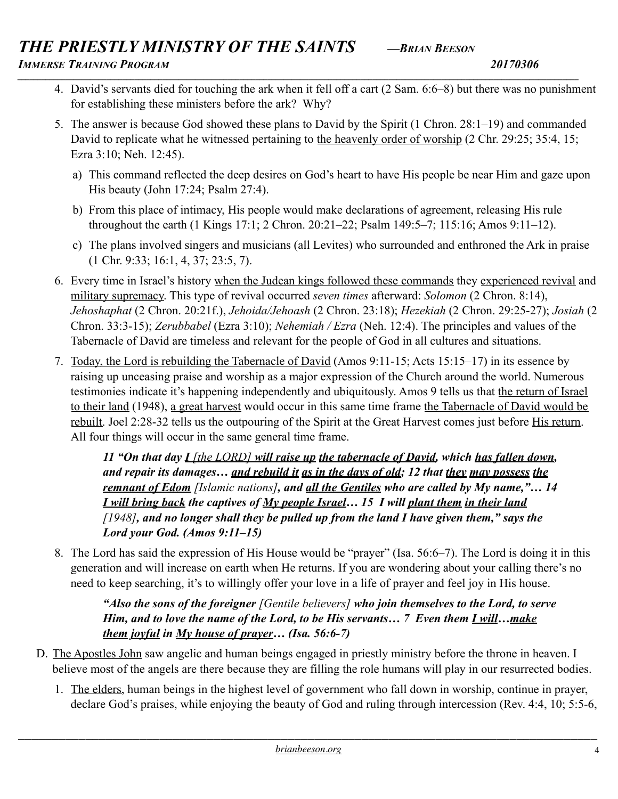# *THE PRIESTLY MINISTRY OF THE SAINTS —BRIAN BEESON*

*IMMERSE TRAINING PROGRAM 20170306 \_\_\_\_\_\_\_\_\_\_\_\_\_\_\_\_\_\_\_\_\_\_\_\_\_\_\_\_\_\_\_\_\_\_\_\_\_\_\_\_\_\_\_\_\_\_\_\_\_\_\_\_\_\_\_\_\_\_\_\_\_\_\_\_\_\_\_\_\_\_\_\_\_\_\_\_\_\_\_\_\_\_\_\_\_\_\_\_\_\_\_\_\_\_\_\_\_\_\_\_\_\_\_\_\_\_\_\_\_\_\_\_\_\_\_\_\_\_\_\_\_\_\_\_\_\_\_\_\_\_\_\_\_\_\_\_\_\_\_*

- 4. David's servants died for touching the ark when it fell off a cart (2 Sam. 6:6–8) but there was no punishment for establishing these ministers before the ark? Why?
- 5. The answer is because God showed these plans to David by the Spirit (1 Chron. 28:1–19) and commanded David to replicate what he witnessed pertaining to the heavenly order of worship (2 Chr. 29:25; 35:4, 15; Ezra 3:10; Neh. 12:45).
	- a) This command reflected the deep desires on God's heart to have His people be near Him and gaze upon His beauty (John 17:24; Psalm 27:4).
	- b) From this place of intimacy, His people would make declarations of agreement, releasing His rule throughout the earth (1 Kings 17:1; 2 Chron. 20:21–22; Psalm 149:5–7; 115:16; Amos 9:11–12).
	- c) The plans involved singers and musicians (all Levites) who surrounded and enthroned the Ark in praise (1 Chr. 9:33; 16:1, 4, 37; 23:5, 7).
- 6. Every time in Israel's history when the Judean kings followed these commands they experienced revival and military supremacy. This type of revival occurred *seven times* afterward: *Solomon* (2 Chron. 8:14), *Jehoshaphat* (2 Chron. 20:21f.), *Jehoida/Jehoash* (2 Chron. 23:18); *Hezekiah* (2 Chron. 29:25-27); *Josiah* (2 Chron. 33:3-15); *Zerubbabel* (Ezra 3:10); *Nehemiah / Ezra* (Neh. 12:4). The principles and values of the Tabernacle of David are timeless and relevant for the people of God in all cultures and situations.
- 7. Today, the Lord is rebuilding the Tabernacle of David (Amos 9:11-15; Acts 15:15–17) in its essence by raising up unceasing praise and worship as a major expression of the Church around the world. Numerous testimonies indicate it's happening independently and ubiquitously. Amos 9 tells us that the return of Israel to their land (1948), a great harvest would occur in this same time frame the Tabernacle of David would be rebuilt. Joel 2:28-32 tells us the outpouring of the Spirit at the Great Harvest comes just before His return. All four things will occur in the same general time frame.

*11 "On that day I [the LORD] will raise up the tabernacle of David, which has fallen down, and repair its damages… and rebuild it as in the days of old; 12 that they may possess the remnant of Edom [Islamic nations], and all the Gentiles who are called by My name,"… 14 I will bring back the captives of My people Israel… 15 I will plant them in their land [1948], and no longer shall they be pulled up from the land I have given them," says the Lord your God. (Amos 9:11–15)* 

8. The Lord has said the expression of His House would be "prayer" (Isa. 56:6–7). The Lord is doing it in this generation and will increase on earth when He returns. If you are wondering about your calling there's no need to keep searching, it's to willingly offer your love in a life of prayer and feel joy in His house.

*"Also the sons of the foreigner [Gentile believers] who join themselves to the Lord, to serve Him, and to love the name of the Lord, to be His servants… 7 Even them I will…make them joyful in My house of prayer… (Isa. 56:6-7)* 

- D. The Apostles John saw angelic and human beings engaged in priestly ministry before the throne in heaven. I believe most of the angels are there because they are filling the role humans will play in our resurrected bodies.
	- 1. The elders, human beings in the highest level of government who fall down in worship, continue in prayer, declare God's praises, while enjoying the beauty of God and ruling through intercession (Rev. 4:4, 10; 5:5-6,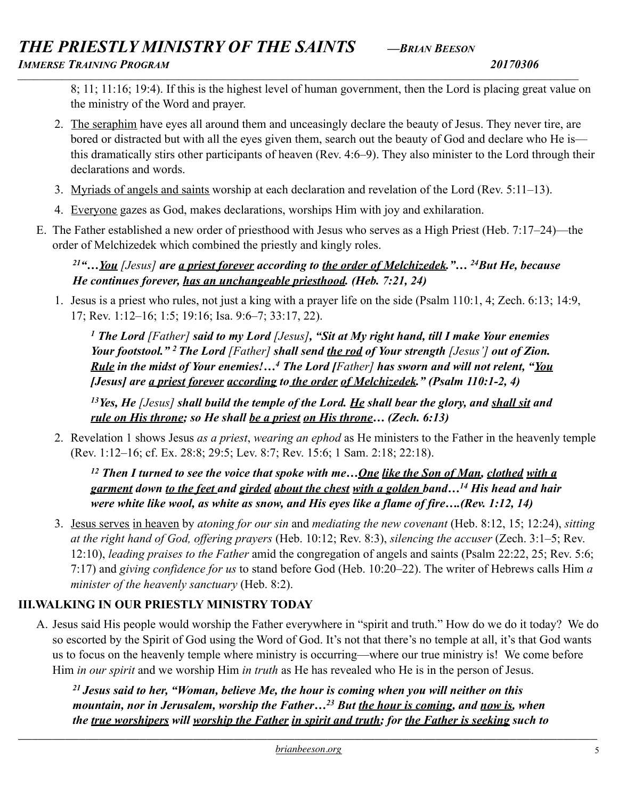# *THE PRIESTLY MINISTRY OF THE SAINTS —BRIAN BEESON IMMERSE TRAINING PROGRAM 20170306*

*\_\_\_\_\_\_\_\_\_\_\_\_\_\_\_\_\_\_\_\_\_\_\_\_\_\_\_\_\_\_\_\_\_\_\_\_\_\_\_\_\_\_\_\_\_\_\_\_\_\_\_\_\_\_\_\_\_\_\_\_\_\_\_\_\_\_\_\_\_\_\_\_\_\_\_\_\_\_\_\_\_\_\_\_\_\_\_\_\_\_\_\_\_\_\_\_\_\_\_\_\_\_\_\_\_\_\_\_\_\_\_\_\_\_\_\_\_\_\_\_\_\_\_\_\_\_\_\_\_\_\_\_\_\_\_\_\_\_\_*

8; 11; 11:16; 19:4). If this is the highest level of human government, then the Lord is placing great value on the ministry of the Word and prayer.

- 2. The seraphim have eyes all around them and unceasingly declare the beauty of Jesus. They never tire, are bored or distracted but with all the eyes given them, search out the beauty of God and declare who He is this dramatically stirs other participants of heaven (Rev. 4:6–9). They also minister to the Lord through their declarations and words.
- 3. Myriads of angels and saints worship at each declaration and revelation of the Lord (Rev. 5:11–13).
- 4. Everyone gazes as God, makes declarations, worships Him with joy and exhilaration.
- E. The Father established a new order of priesthood with Jesus who serves as a High Priest (Heb. 7:17–24)—the order of Melchizedek which combined the priestly and kingly roles.

*21"…You [Jesus] are a priest forever according to the order of Melchizedek."… 24But He, because He continues forever, has an unchangeable priesthood. (Heb. 7:21, 24)* 

1. Jesus is a priest who rules, not just a king with a prayer life on the side (Psalm 110:1, 4; Zech. 6:13; 14:9, 17; Rev. 1:12–16; 1:5; 19:16; Isa. 9:6–7; 33:17, 22).

*1 The Lord [Father] said to my Lord [Jesus], "Sit at My right hand, till I make Your enemies Your footstool." 2 The Lord [Father] shall send the rod of Your strength [Jesus'] out of Zion. Rule in the midst of Your enemies!…4 The Lord [Father] has sworn and will not relent, "You [Jesus] are a priest forever according to the order of Melchizedek." (Psalm 110:1-2, 4)* 

*13Yes, He [Jesus] shall build the temple of the Lord. He shall bear the glory, and shall sit and rule on His throne; so He shall be a priest on His throne… (Zech. 6:13)* 

2. Revelation 1 shows Jesus *as a priest*, *wearing an ephod* as He ministers to the Father in the heavenly temple (Rev. 1:12–16; cf. Ex. 28:8; 29:5; Lev. 8:7; Rev. 15:6; 1 Sam. 2:18; 22:18).

*12 Then I turned to see the voice that spoke with me…One like the Son of Man, clothed with a garment down to the feet and girded about the chest with a golden band…14 His head and hair were white like wool, as white as snow, and His eyes like a flame of fire….(Rev. 1:12, 14)* 

3. Jesus serves in heaven by *atoning for our sin* and *mediating the new covenant* (Heb. 8:12, 15; 12:24), *sitting at the right hand of God, offering prayers* (Heb. 10:12; Rev. 8:3), *silencing the accuser* (Zech. 3:1–5; Rev. 12:10), *leading praises to the Father* amid the congregation of angels and saints (Psalm 22:22, 25; Rev. 5:6; 7:17) and *giving confidence for us* to stand before God (Heb. 10:20–22). The writer of Hebrews calls Him *a minister of the heavenly sanctuary* (Heb. 8:2).

# **III.WALKING IN OUR PRIESTLY MINISTRY TODAY**

A. Jesus said His people would worship the Father everywhere in "spirit and truth." How do we do it today? We do so escorted by the Spirit of God using the Word of God. It's not that there's no temple at all, it's that God wants us to focus on the heavenly temple where ministry is occurring—where our true ministry is! We come before Him *in our spirit* and we worship Him *in truth* as He has revealed who He is in the person of Jesus.

*21 Jesus said to her, "Woman, believe Me, the hour is coming when you will neither on this mountain, nor in Jerusalem, worship the Father…23 But the hour is coming, and now is, when the true worshipers will worship the Father in spirit and truth; for the Father is seeking such to*